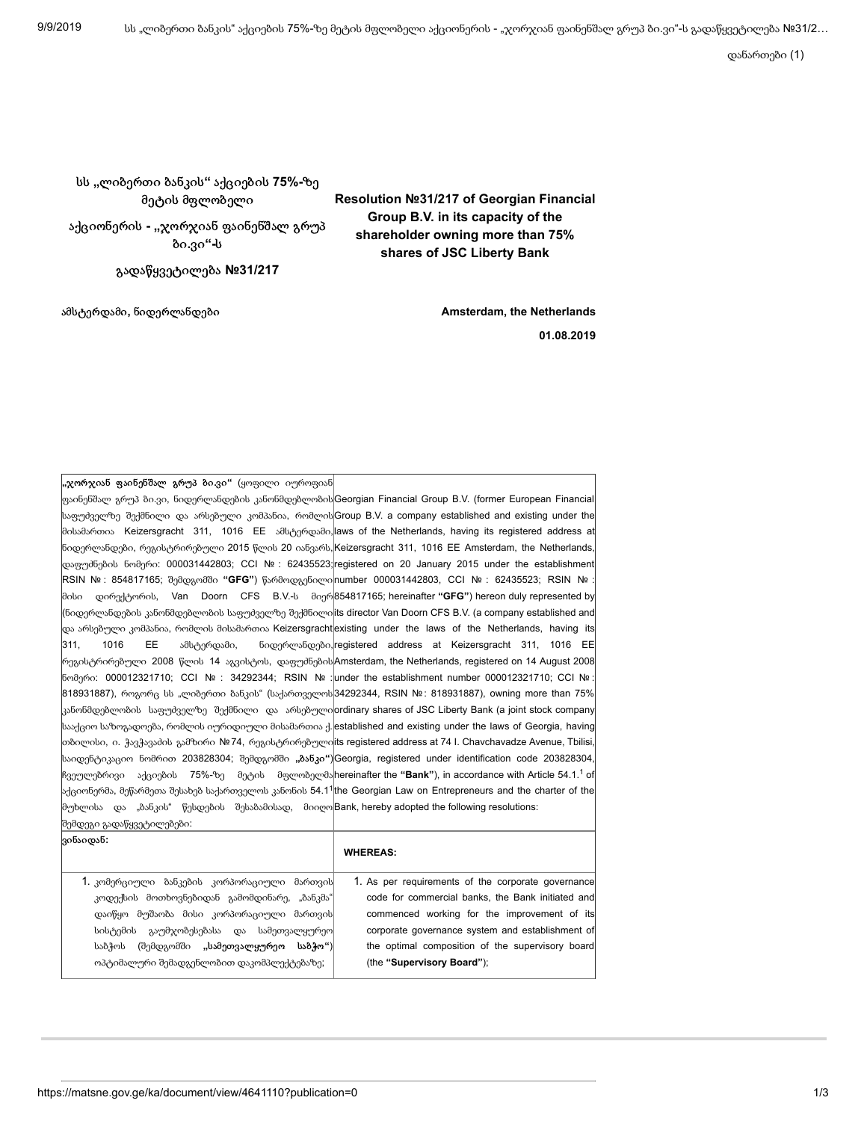დანართები (1)

## სს **"**ლიბერთი ბანკის**"** აქციების **75%-**ზე მეტის მფლობელი

აქციონერის **- "**ჯორჯიან ფაინენშალ გრუპ ბი**.**ვი**"-**ს

გადაწყვეტილება **№31/217**

## **Resolution №31/217 of Georgian Financial Group B.V. in its capacity of the shareholder owning more than 75% shares of JSC Liberty Bank**

ამსტერდამი**,** ნიდერლანდები **Amsterdam, the Netherlands**

**01.08.2019**

**"**ჯორჯიან ფაინენშალ გრუპ ბი**.**ვი**"** (ყოფილი იუროფიან

ფაინენშალ გრუპ ბი.ვი, ნიდერლანდების კანონმდებლობის Georgian Financial Group B.V. (former European Financial საფუძველზე შექმნილი და არსებული კომპანია, რომლისGroup B.V. a company established and existing under the მისამართია Keizersgracht 311, 1016 EE ამსტერდამი,∥aws of the Netherlands, having its registered address at ნიდერლანდები, რეგისტრირებული 2015 წლის 20 იანვარს,|Keizersgracht 311, 1016 EE Amsterdam, the Netherlands,| დაფუძნების ნომერი: 000031442803; CCI № : 62435523;∣registered on 20 January 2015 under the establishment∣ RSIN № : 854817165; შემდგომში **"GFG"**) წარმოდგენილი number 000031442803, CCI № : 62435523; RSIN № : მისი დირექტორის, Van Doorn CFS B.V.-ს მიერ 854817165; hereinafter **"GFG"**) hereon duly represented by (ნიდერლანდების კანონმდებლობის საფუძველზე შექმნილი∣its director Van Doorn CFS B.V. (a company established and| და არსებული კომპანია, რომლის მისამართია Keizersgracht|existing under the laws of the Netherlands, having its| 311, 1016 EE ამსტერდამი, ნიდერლანდები,∣registered address at Keizersgracht 311, 1016 EE∣ რეგისტრირებული 2008 წლის 14 აგვისტოს, დაფუძნების Amsterdam, the Netherlands, registered on 14 August 2008 ნომერი: 000012321710; CCI № : 34292344; RSIN № :∣under the establishment number 000012321710; CCI № :∣ 818931887), როგორც სს "ლიბერთი ბანკის" (საქართველოს|34292344, RSIN №: 818931887), owning more than 75%| . კანონმდებლობის საფუძველზე შექმნილი და არსებული|ordinary shares of JSC Liberty Bank (a joint stock company| სააქციო საზოგადოება, რომლის იურიდიული მისამართია ქ.|established and existing under the laws of Georgia, having| თბილისი, ი. ჭავჭავაძის გამზირი №74, რეგისტრირებული∣its registered address at 74 I. Chavchavadze Avenue, Tbilisi,∣ საიდენტიკაციო ნომრით 203828304; შემდგომში **"**ბანკი**"**) Georgia, registered under identification code 203828304, ჩვეულებრივი აქციების 75%-ზე მეტის მფლობელმა**hereinafter the "Bank"**), in accordance with Article 54.1.<sup>1</sup> of აქციონერმა, მეწარმეთა შესახებ საქართველოს კანონის 54.1 the Georgian Law on Entrepreneurs and the charter of the 1 მუხლისა და "ბანკის" წესდების შესაბამისად, მიიღო Bank, hereby adopted the following resolutions: შემდეგი გადაწყვეტილებები:

| ვინაიდან:                                    | <b>WHEREAS:</b>                                    |
|----------------------------------------------|----------------------------------------------------|
| 1. კომერციული ბანკების კორპორაციული მართვის  | 1. As per requirements of the corporate governance |
| კოდექსის მოთხოვნებიდან გამომდინარე, "ბანკმა" | code for commercial banks, the Bank initiated and  |
| დაიწყო მუშაობა მისი კორპორაციული მართვის     | commenced working for the improvement of its       |
| გაუმჯობესებასა და სამეთვალყურეო <br>სისტემის | corporate governance system and establishment of   |
| საბჭოს (შემდგომში "სამეთვალყურეო საბჭო")     | the optimal composition of the supervisory board   |
| ოპტიმალური შემადგენლობით დაკომპლექტებაზე;    | (the "Supervisory Board");                         |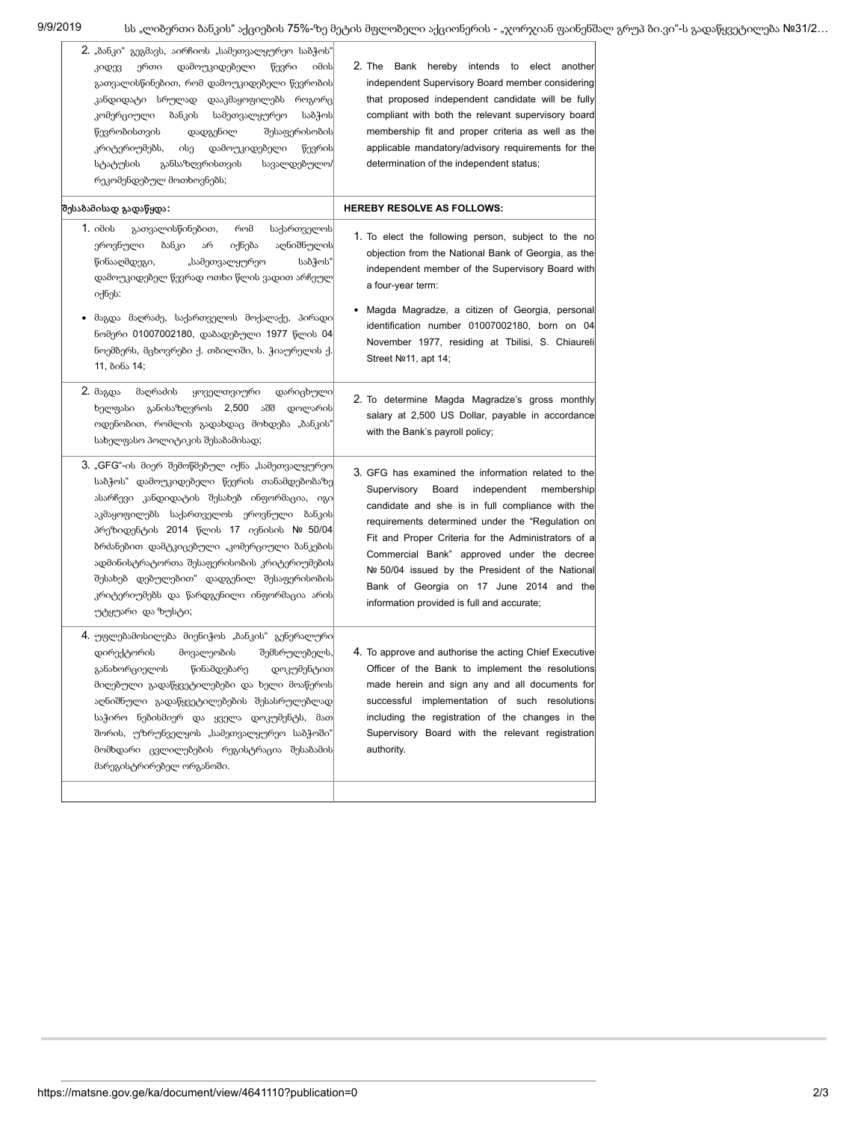| 2. "ბანკი" გეგმავს, აირჩიოს "სამეთვალყურეო საბჭოს"<br>ერთი<br>დამოუკიდებელი<br>წევრი<br>იმის∣<br>კიდევ<br>გათვალისწინებით, რომ დამოუკიდებელი წევრობის<br>კანდიდატი სრულად დააკმაყოფილებს როგორც <br>ბანკის<br>სამეთვალყურეო<br>საბჭოს<br>კომერციული<br>წევრობისთვის<br>შესაფერისობის<br>დადგენილ<br>დამოუკიდებელი<br>კრიტერიუმებს,<br>ისე<br>წევრის<br>სტატუსის<br>განსაზღვრისთვის<br>სავალდებულო/<br>რეკომენდებულ მოთხოვნებს;                       | 2. The Bank hereby intends to elect another<br>independent Supervisory Board member considering<br>that proposed independent candidate will be fully<br>compliant with both the relevant supervisory board<br>membership fit and proper criteria as well as the<br>applicable mandatory/advisory requirements for the<br>determination of the independent status;                                                                                                 |
|------------------------------------------------------------------------------------------------------------------------------------------------------------------------------------------------------------------------------------------------------------------------------------------------------------------------------------------------------------------------------------------------------------------------------------------------------|-------------------------------------------------------------------------------------------------------------------------------------------------------------------------------------------------------------------------------------------------------------------------------------------------------------------------------------------------------------------------------------------------------------------------------------------------------------------|
| შესაბამისად გადაწყდა:                                                                                                                                                                                                                                                                                                                                                                                                                                | <b>HEREBY RESOLVE AS FOLLOWS:</b>                                                                                                                                                                                                                                                                                                                                                                                                                                 |
| 1. იმის<br>გათვალისწინებით,<br>რომ<br>საქართველოს<br>აღნიშნულის<br>ეროვნული<br>ბანკი<br>იქნება<br>არ<br>საბჭოს"<br>წინააღმდეგი,<br>"სამეთვალყურეო<br>დამოუკიდებელ წევრად ოთხი წლის ვადით არჩეულ<br>იქნეს:                                                                                                                                                                                                                                            | 1. To elect the following person, subject to the no<br>objection from the National Bank of Georgia, as the<br>independent member of the Supervisory Board with<br>a four-year term:                                                                                                                                                                                                                                                                               |
| მაგდა მაღრაძე, საქართველოს მოქალაქე, პირადი<br>ნომერი 01007002180, დაბადებული 1977 წლის 04<br>ნოემბერს, მცხოვრები ქ. თბილიში, ს. ჭიაურელის ქ.<br>11, ბინა 14;                                                                                                                                                                                                                                                                                        | Magda Magradze, a citizen of Georgia, personal<br>identification number 01007002180, born on 04<br>November 1977, residing at Tbilisi, S. Chiaureli<br>Street Nº11, apt 14;                                                                                                                                                                                                                                                                                       |
| 2. მაგდა<br>მაღრაძის<br>ყოველთვიური<br>დარიცხული<br>ხელფასი განისაზღვროს 2,500 აშშ<br>დოლარის<br>ოდენობით, რომლის გადახდაც მოხდება "ბანკის"<br>სახელფასო პოლიტიკის შესაბამისად;                                                                                                                                                                                                                                                                      | 2. To determine Magda Magradze's gross monthly<br>salary at 2,500 US Dollar, payable in accordance<br>with the Bank's payroll policy;                                                                                                                                                                                                                                                                                                                             |
| 3. "GFG"-ის მიერ შემოწმებულ იქნა "სამეთვალყურეო.<br>საბჭოს" დამოუკიდებელი წევრის თანამდებობაზე <br>ასარჩევი კანდიდატის შესახებ ინფორმაცია, იგი<br>აკმაყოფილებს საქართველოს ეროვნული ბანკის<br>პრეზიდენტის 2014 წლის 17 ივნისის № 50/04<br>ბრძანებით დამტკიცებული "კომერციული ბანკების<br>ადმინისტრატორთა შესაფერისობის კრიტერიუმების<br>შესახებ დებულებით" დადგენილ შესაფერისობის<br>კრიტერიუმებს და წარდგენილი ინფორმაცია არის<br>უტყუარი და ზუსტი; | 3. GFG has examined the information related to the<br>Supervisory<br>independent<br>Board<br>membership<br>candidate and she is in full compliance with the<br>requirements determined under the "Regulation on<br>Fit and Proper Criteria for the Administrators of a<br>Commercial Bank" approved under the decree<br>Nº 50/04 issued by the President of the National<br>Bank of Georgia on 17 June 2014 and the<br>information provided is full and accurate; |
| 4. უფლებამოსილება მიენიჭოს "ბანკის" გენერალური<br>დირექტორის<br>მოვალეობის<br>შემსრულებელს,<br>განახორციელოს<br>წინამდებარე<br>დოკუმენტით <br>მიღებული გადაწყვეტილებები და ხელი მოაწეროს<br>აღნიშნული გადაწყვეტილებების შესასრულებლად <br>საჭირო ნებისმიერ და ყველა დოკუმენტს, მათ<br>შორის, უზრუნველყოს "სამეთვალყურეო საბჭოში"<br>მომხდარი ცვლილებების რეგისტრაცია შესაბამის<br>მარეგისტრირებელ ორგანოში.                                          | 4. To approve and authorise the acting Chief Executive<br>Officer of the Bank to implement the resolutions<br>made herein and sign any and all documents for<br>successful implementation of such resolutions<br>including the registration of the changes in the<br>Supervisory Board with the relevant registration<br>authority.                                                                                                                               |
|                                                                                                                                                                                                                                                                                                                                                                                                                                                      |                                                                                                                                                                                                                                                                                                                                                                                                                                                                   |